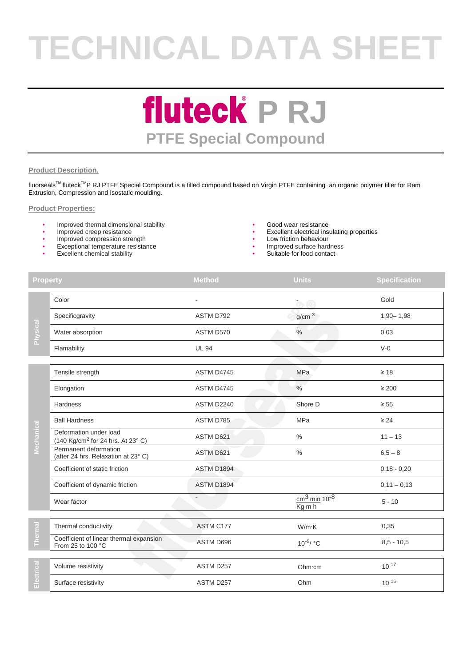# **TECHNICAL DATA SHEET**

### **fluteck** P RJ **PTFE Special Compound**

#### **Product Description.**

fluorseals™ fluteck<sup>™</sup>P RJ PTFE Special Compound is a filled compound based on Virgin PTFE containing an organic polymer filler for Ram Extrusion, Compression and Isostatic moulding.

#### **Product Properties:**

- Improved thermal dimensional stability  **Good wear resistance** Improved creep resistance **•** Excellent electrical ins
- 
- Improved compression strength **•** Low friction behaviour
- Exceptional temperature resistance
- **Excellent chemical stability**
- 
- Excellent electrical insulating properties
- 
- Improved surface hardness
- Suitable for food contact

| <b>Property</b> |                                                                         | <b>Method</b> | <b>Units</b>                                         | <b>Specification</b> |
|-----------------|-------------------------------------------------------------------------|---------------|------------------------------------------------------|----------------------|
| Physical        | Color                                                                   |               | $\overline{\alpha}$                                  | Gold                 |
|                 | Specificgravity                                                         | ASTM D792     | g/cm <sup>3</sup>                                    | $1,90 - 1,98$        |
|                 | Water absorption                                                        | ASTM D570     | $\%$                                                 | 0,03                 |
|                 | Flamability                                                             | <b>UL 94</b>  |                                                      | $V-0$                |
| Mechanical      | Tensile strength                                                        | ASTM D4745    | MPa                                                  | $\geq 18$            |
|                 | Elongation                                                              | ASTM D4745    | $\frac{0}{0}$                                        | $\geq 200$           |
|                 | Hardness                                                                | ASTM D2240    | Shore D                                              | $\geq 55$            |
|                 | <b>Ball Hardness</b>                                                    | ASTM D785     | MPa                                                  | $\geq 24$            |
|                 | Deformation under load<br>(140 Kg/cm <sup>2</sup> for 24 hrs. At 23° C) | ASTM D621     | $\frac{0}{0}$                                        | $11 - 13$            |
|                 | Permanent deformation<br>(after 24 hrs. Relaxation at 23°C)             | ASTM D621     | $\%$                                                 | $6,5 - 8$            |
|                 | Coefficient of static friction                                          | ASTM D1894    |                                                      | $0,18 - 0,20$        |
|                 | Coefficient of dynamic friction                                         | ASTM D1894    |                                                      | $0,11 - 0,13$        |
|                 | Wear factor                                                             |               | $\frac{\text{cm}^3 \text{min}}{10^{-8}}$<br>$Kg$ m h | $5 - 10$             |
|                 | Thermal conductivity                                                    | ASTM C177     | W/m·K                                                | 0,35                 |
| Thermal         | Coefficient of linear thermal expansion<br>From 25 to 100 °C            | ASTM D696     | 10 <sup>-5</sup> / °C                                | $8,5 - 10,5$         |
| Electrical      | Volume resistivity                                                      | ASTM D257     | Ohm cm                                               | $10^{17}$            |
|                 | Surface resistivity                                                     | ASTM D257     | Ohm                                                  | 10 16                |